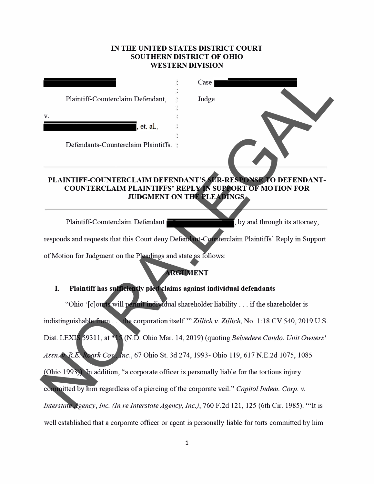# **IN THE UNITED STATES DISTRICT COURT SOUTHERN DISTRICT OF OHIO WESTERN DIVISION**

|                                                                                                | Case                                                                                               |  |
|------------------------------------------------------------------------------------------------|----------------------------------------------------------------------------------------------------|--|
|                                                                                                |                                                                                                    |  |
| Plaintiff-Counterclaim Defendant,                                                              | Judge                                                                                              |  |
| v.                                                                                             |                                                                                                    |  |
| , et. al.                                                                                      |                                                                                                    |  |
|                                                                                                |                                                                                                    |  |
| Defendants-Counterclaim Plaintiffs.                                                            |                                                                                                    |  |
|                                                                                                |                                                                                                    |  |
|                                                                                                |                                                                                                    |  |
| PLAINTIFF-COUNTERCLAIM DEFENDANT'S SUR-RESPONSE TO DEFENDANT-                                  |                                                                                                    |  |
|                                                                                                | <b>COUNTERCLAIM PLAINTIFFS' REPLY IN SUPPORT OF MOTION FOR</b><br>JUDGMENT ON THE PLEADINGS        |  |
|                                                                                                |                                                                                                    |  |
|                                                                                                |                                                                                                    |  |
| Plaintiff-Counterclaim Defendant                                                               | , by and through its attorney,                                                                     |  |
| responds and requests that this Court deny Defendant-Counterclaim Plaintiffs' Reply in Support |                                                                                                    |  |
|                                                                                                |                                                                                                    |  |
| of Motion for Judgment on the Pleadings and state as follows:                                  |                                                                                                    |  |
|                                                                                                | <b>ARGUMENT</b>                                                                                    |  |
| I.                                                                                             | Plaintiff has sufficiently pled claims against individual defendants                               |  |
|                                                                                                |                                                                                                    |  |
|                                                                                                | "Ohio '[c]ourts will permit individual shareholder liability if the shareholder is                 |  |
|                                                                                                | indistinguishable from the corporation itself." Zillich v. Zillich, No. 1:18 CV 540, 2019 U.S.     |  |
|                                                                                                |                                                                                                    |  |
|                                                                                                | Dist. LEXIS 59311, at *15 (N.D. Ohio Mar. 14, 2019) (quoting Belvedere Condo. Unit Owners'         |  |
|                                                                                                | Assn. N.R.E. Roark Cos., Inc., 67 Ohio St. 3d 274, 1993- Ohio 119, 617 N.E.2d 1075, 1085           |  |
|                                                                                                |                                                                                                    |  |
|                                                                                                | (Ohio 1993)). In addition, "a corporate officer is personally liable for the tortious injury       |  |
| committed by him regardless of a piercing of the corporate veil." Capitol Indem. Corp. v.      |                                                                                                    |  |
|                                                                                                |                                                                                                    |  |
|                                                                                                | Interstate Agency, Inc. (In re Interstate Agency, Inc.), 760 F.2d 121, 125 (6th Cir. 1985). "It is |  |

well established that a corporate officer or agent is personally liable for torts committed by him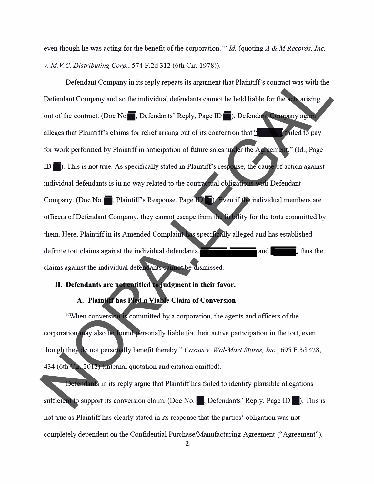even though he was acting for the benefit of the corporation." *Id.* (quoting *A & M Records, Inc.* v. *M VC. Distributing Corp.,* 574 F.2d 312 (6th Cir. 1978)).

Defendant Company in its reply repeats its argument that Plaintiff's contract was with the Defendant Company and so the individual defendants cannot be held liable for the acts arising out of the contract. (Doc No., Defendants' Reply, Page ID in .). Defendant Company again alleges that Plaintiffs claims for relief arising out of its contention that **'W** failed to pay for work performed by Plaintiff in anticipation of future sales under the Agreement." (Id., Page ID iii). This is not true. As specifically stated in Plaintiff's response, the cause of action against individual defendants is in no way related to the contractual obligations with Defendant Company. (Doc No.  $\blacksquare$ , Plaintiff's Response, Page **ID**  $\blacksquare$ ). Even if the individual members are officers of Defendant Company, they cannot escape from the liability for the torts committed by them. Here, Plaintiff in its Amended Complaint has specifically alleged and has established definite tort claims against the individual defendants and and **W, and S, and S, and S, and S, and A, and A, and A, and A, and A, and A, and A, and A, and A, and A, and A, and A, and A, and A, and A, and A, and A, and A, a** claims against the individual defendants cannot be dismissed. Defendant Company in its reply repeats its argument that Plaintiff's contract was with the<br>Defendant Company and so the individual defendants cannot be held liable for the accuration<br>out of the contract. (Doc No  $\blacksquare$ , D

# **II. Defendants are not entitled to judgment in their favor.**

## **A. Plaintiff has Pied a Viable Claim of Conversion**

"When conversion is committed by a corporation, the agents and officers of the corporation may also be found personally liable for their active participation in the tort, even though they do not personally benefit thereby." *Casias* v. *Wal-Mart Stores, Inc.,* 695 F.3d 428, 434 (6th Cir. 2012) (internal quotation and citation omitted).

Defendants in its reply argue that Plaintiff has failed to identify plausible allegations sufficient to support its conversion claim. (Doc No.  $\blacksquare$ , Defendants' Reply, Page  $ID \blacksquare$ ). This is not true as Plaintiff has clearly stated in its response that the parties' obligation was not completely dependent on the Confidential Purchase/Manufacturing Agreement ("Agreement").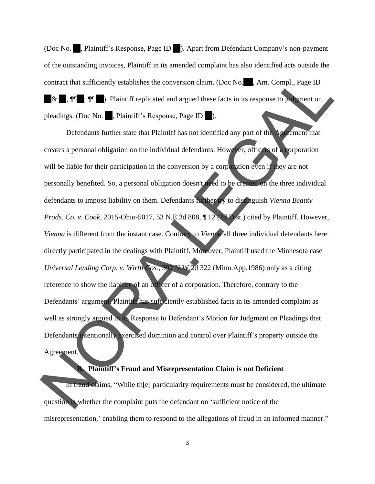(Doc No. , Plaintiff's Response, Page ID ). Apart from Defendant Company's non-payment of the outstanding invoices, Plaintiff in its amended complaint has also identified acts outside the contract that sufficiently establishes the conversion claim. (Doc No. , Am. Compl., Page ID  $\&\quad$ ,  $\P\P$ ;  $\P\P$  :  $\P\P$  ). Plaintiff replicated and argued these facts in its response to judgment on pleadings. (Doc No. , Plaintiff's Response, Page ID

Defendants further state that Plaintiff has not identified any part of the Agreement that creates a personal obligation on the individual defendants. However, officers of a corporation will be liable for their participation in the conversion by a corporation even if they are not personally benefited. So, a personal obligation doesn't need to be created on the three individual defendants to impose liability on them. Defendants further try to distinguish *Vienna Beauty Prods. Co. v. Cook*, 2015-Ohio-5017, 53 N.E.3d 808, ¶ 12 (2d Dist.) cited by Plaintiff. However, *Vienna* is different from the instant case. Contrary to *Vienna* all three individual defendants here directly participated in the dealings with Plaintiff. Moreover, Plaintiff used the Minnesota case *Universal Lending Corp. v. Wirth Cos.*, 392 N.W.2d 322 (Minn.App.1986) only as a citing reference to show the liability of an officer of a corporation. Therefore, contrary to the Defendants' argument, Plaintiff has sufficiently established facts in its amended complaint as well as strongly argued in its Response to Defendant's Motion for Judgment on Pleadings that Defendants intentionally exercised dominion and control over Plaintiff's property outside the Agreement. contract that sufficiently establishes the conversion claim. (Doc No. **A.**m. Compl., Page ID<br> **No. 1.** Page ID<br> **No. 1.** Plaintiff's Response. Page ID<br> **Detectants for No. Page ID**<br>
Detectants for No. **Page ID**<br>
Detectan

## **B. Plaintiff's Fraud and Misrepresentation Claim is not Deficient**

In fraud claims, "While th[e] particularity requirements must be considered, the ultimate question is whether the complaint puts the defendant on 'sufficient notice of the misrepresentation, ' enabling them to respond to the allegations of fraud in an informed manner."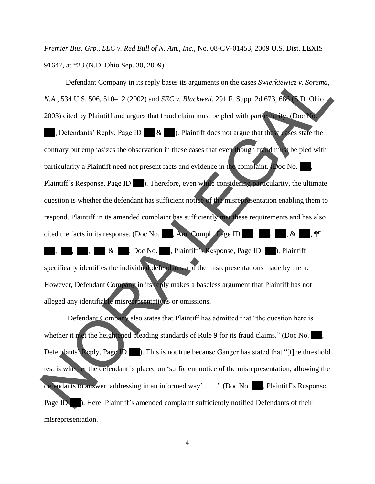*Premier Bus. Grp., LLC v. Red Bull of N. Am., Inc.*, No. 08-CV-01453, 2009 U.S. Dist. LEXIS 91647, at \*23 (N.D. Ohio Sep. 30, 2009)

Defendant Company in its reply bases its arguments on the cases *Swierkiewicz v. Sorema, N.A.*, 534 U.S. 506, 510–12 (2002) and *SEC v. Blackwell*, 291 F. Supp. 2d 673, 686 (S.D. Ohio 2003) cited by Plaintiff and argues that fraud claim must be pled with particularity. (Doc No.

, Defendants' Reply, Page ID & ). Plaintiff does not argue that these cases state the contrary but emphasizes the observation in these cases that even though fraud must be pled with particularity a Plaintiff need not present facts and evidence in the complaint. (Doc No. Plaintiff's Response, Page ID ). Therefore, even while considering particularity, the ultimate question is whether the defendant has sufficient notice of the misrepresentation enabling them to respond. Plaintiff in its amended complaint has sufficiently met these requirements and has also cited the facts in its response. (Doc No. , Am. Compl., Page ID , , , , , , & & ; Doc No. , Plaintiff's Response, Page ID ). Plaintiff specifically identifies the individual defendants and the misrepresentations made by them. However, Defendant Company in its reply makes a baseless argument that Plaintiff has not alleged any identifiable misrepresentations or omissions. Defendant Company in its reply bases its arguments on the cases *Swierkiewicz* v. *Sorema*,<br>
N.A., 534 U.S. 506, 510-12 (2002) and *SEC* v. *Blackwell*, 291 F. Supp. 2d 673, 688 **C.** Ohio<br>
2003) cited by Plaintiff and arg

Defendant Company also states that Plaintiff has admitted that "the question here is whether it met the heightened pleading standards of Rule 9 for its fraud claims." (Doc No.  $\blacksquare$ , Defendants' Reply, Page ID ). This is not true because Ganger has stated that "[t]he threshold test is whether the defendant is placed on 'sufficient notice of the misrepresentation, allowing the defendants to answer, addressing in an informed way' . . . ." (Doc No. , Plaintiff's Response, Page ID (b). Here, Plaintiff's amended complaint sufficiently notified Defendants of their misrepresentation.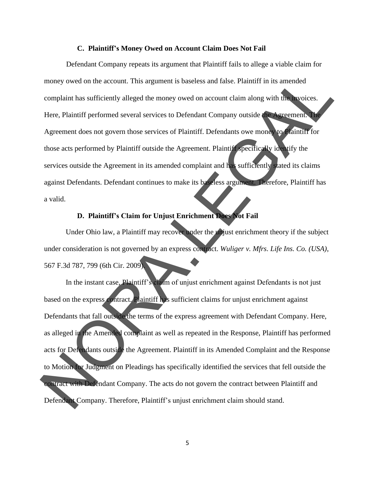#### **C. Plaintiff's Money Owed on Account Claim Does Not Fail**

Defendant Company repeats its argument that Plaintiff fails to allege a viable claim for money owed on the account. This argument is baseless and false. Plaintiff in its amended complaint has sufficiently alleged the money owed on account claim along with the invoices. Here, Plaintiff performed several services to Defendant Company outside the Agreement. The Agreement does not govern those services of Plaintiff. Defendants owe money to Plaintiff for those acts performed by Plaintiff outside the Agreement. Plaintiff specifically identify the services outside the Agreement in its amended complaint and has sufficiently stated its claims against Defendants. Defendant continues to make its baseless argument. Therefore, Plaintiff has a valid. money owed on the account. This argument is baseless and false. Plaintiff in its amended<br>
complaint has sufficiently alleged the money owed on account claim along with the woles.<br>
Here, Plaintiff' performed several service

# **D. Plaintiff's Claim for Unjust Enrichment Does Not Fail**

Under Ohio law, a Plaintiff may recover under the unjust enrichment theory if the subject under consideration is not governed by an express contract. *Wuliger v. Mfrs. Life Ins. Co. (USA)*, 567 F.3d 787, 799 (6th Cir. 2009).

In the instant case, Plaintiff's claim of unjust enrichment against Defendants is not just based on the express contract. Plaintiff has sufficient claims for unjust enrichment against Defendants that fall outside the terms of the express agreement with Defendant Company. Here, as alleged in the Amended complaint as well as repeated in the Response, Plaintiff has performed acts for Defendants outside the Agreement. Plaintiff in its Amended Complaint and the Response to Motion for Judgment on Pleadings has specifically identified the services that fell outside the contract with Defendant Company. The acts do not govern the contract between Plaintiff and Defendant Company. Therefore, Plaintiff's unjust enrichment claim should stand.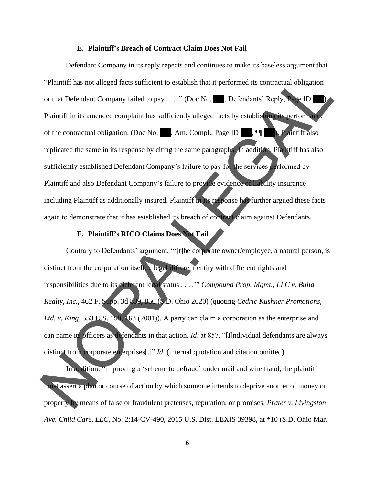#### **E. Plaintiff's Breach of Contract Claim Does Not Fail**

Defendant Company in its reply repeats and continues to make its baseless argument that "Plaintiff has not alleged facts sufficient to establish that it performed its contractual obligation or that Defendant Company failed to pay . . . ." (Doc No. , Defendants' Reply, Page ID Plaintiff in its amended complaint has sufficiently alleged facts by establishing its performance of the contractual obligation. (Doc No. , Am. Compl., Page ID ,  $\P$ ,  $\P$  ). Plaintiff also replicated the same in its response by citing the same paragraphs. In addition, Plaintiff has also sufficiently established Defendant Company's failure to pay for the services performed by Plaintiff and also Defendant Company's failure to provide evidence of liability insurance including Plaintiff as additionally insured. Plaintiff in its response has further argued these facts again to demonstrate that it has established its breach of contract claim against Defendants. "Plaintiff has not atteged facts sufficient to establish that it performed its contractual obligation<br>or that Defendant Company failed to pay ...." (Doc No. 2. Defendants' Reply,  $\bullet$  1D<br>
Plaintiff in its amended complain

## **F. Plaintiff's RICO Claims Does Not Fail**

Contrary to Defendants' argument, "'[t]he corporate owner/employee, a natural person, is distinct from the corporation itself, a legal different entity with different rights and responsibilities due to its different legal status . . . .'" *Compound Prop. Mgmt., LLC v. Build Realty, Inc.*, 462 F. Supp. 3d 839, 856 (S.D. Ohio 2020) (quoting *Cedric Kushner Promotions, Ltd. v. King*, 533 U.S. 158, 163 (2001)). A party can claim a corporation as the enterprise and can name its officers as defendants in that action. *Id*. at 857. "[I]ndividual defendants are always distinct from corporate enterprises<sup>[.]"</sup> *Id.* (internal quotation and citation omitted).

In addition, "in proving a 'scheme to defraud' under mail and wire fraud, the plaintiff must assert a plan or course of action by which someone intends to deprive another of money or property by means of false or fraudulent pretenses, reputation, or promises. *Prater v. Livingston Ave. Child Care, LLC* , No. 2:14-CV-490, 2015 U.S. Dist. LEXIS 39398, at \*10 (S.D. Ohio Mar.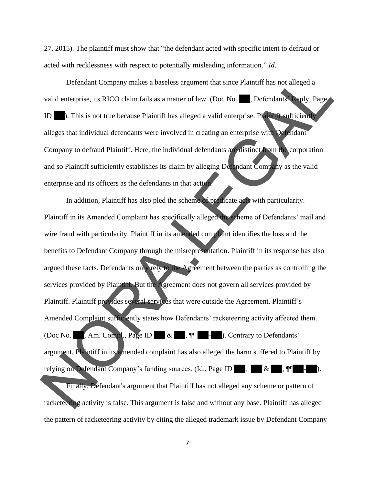27, 2015). The plaintiff must show that "the defendant acted with specific intent to defraud or acted with recklessness with respect to potentially misleading information." *Id*.

Defendant Company makes a baseless argument that since Plaintiff has not alleged a valid enterprise, its RICO claim fails as a matter of law. (Doc No.  $\blacksquare$ , Defendants' Reply, Page ID ). This is not true because Plaintiff has alleged a valid enterprise. Plaintiff sufficiently alleges that individual defendants were involved in creating an enterprise with Defendant Company to defraud Plaintiff. Here, the individual defendants are distinct from the corporation and so Plaintiff sufficiently establishes its claim by alleging Defendant Company as the valid enterprise and its officers as the defendants in that action.

In addition, Plaintiff has also pled the scheme of predicate acts with particularity. Plaintiff in its Amended Complaint has specifically alleged the scheme of Defendants' mail and wire fraud with particularity. Plaintiff in its amended complaint identifies the loss and the benefits to Defendant Company through the misrepresentation. Plaintiff in its response has also argued these facts. Defendants only rely to the Agreement between the parties as controlling the services provided by Plaintiff. But the Agreement does not govern all services provided by Plaintiff. Plaintiff provides several services that were outside the Agreement. Plaintiff's Amended Complaint sufficiently states how Defendants' racketeering activity affected them. (Doc No. , Am. Compl., Page ID & , ¶¶ - ). Contrary to Defendants' argument, Plaintiff in its amended complaint has also alleged the harm suffered to Plaintiff by relying on Defendant Company's funding sources. (Id., Page ID  $\parallel$ ,  $\parallel$  & Finally, Defendant's argument that Plaintiff has not alleged any scheme or pattern of racketeering activity is false. This argument is false and without any base. Plaintiff has alleged the pattern of racketeering activity by citing the alleged trademark issue by Defendant CompanyDefendant Company makes a baseless argument that since Plaintiff has not alleged a<br>valid enterprise, its RICO claim fails as a matter of law. (Doc No. **E.** Defendants reply, Page<br>ID. This is not true because Plaintiff has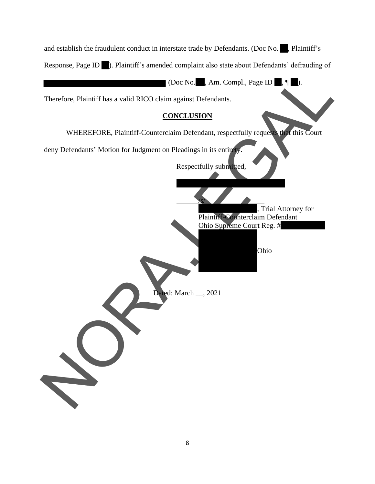